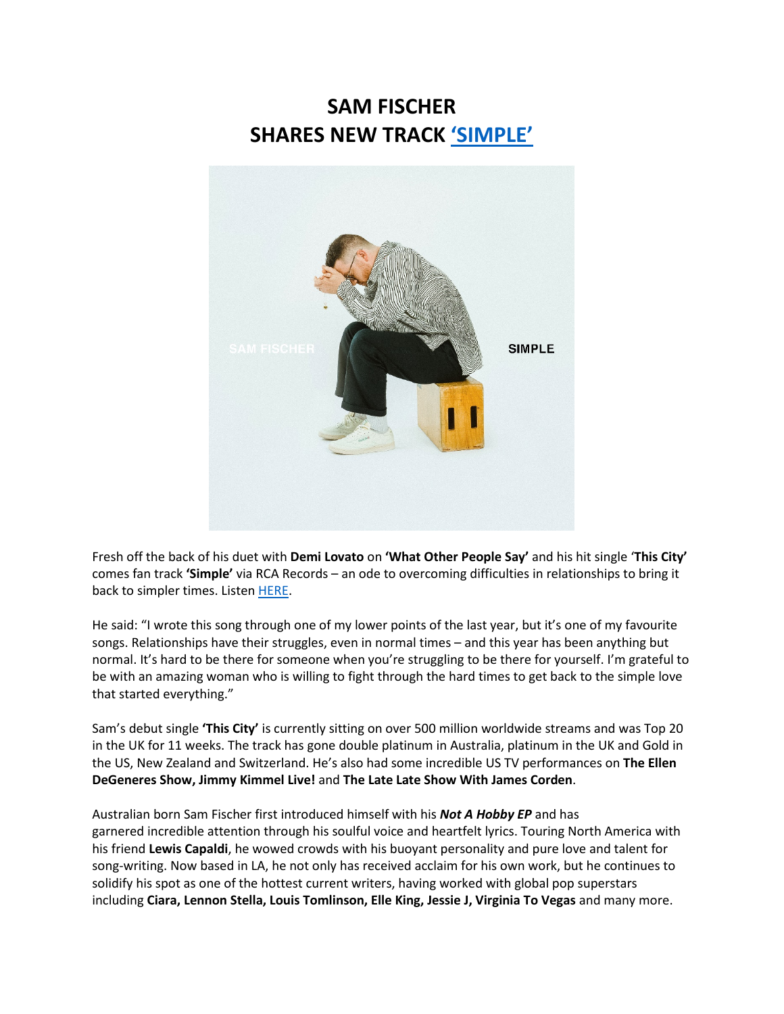## **SAM FISCHER SHARES NEW TRACK ['SIMPLE'](https://eur01.safelinks.protection.outlook.com/?url=https%3A%2F%2Fsmfschr.com%2FSimple&data=04%7C01%7C%7Cd7ec85d886884f8e271e08d916e98598%7Cf0aff3b791a54aaeaf71c63e1dda2049%7C0%7C0%7C637566014497023079%7CUnknown%7CTWFpbGZsb3d8eyJWIjoiMC4wLjAwMDAiLCJQIjoiV2luMzIiLCJBTiI6Ik1haWwiLCJXVCI6Mn0%3D%7C1000&sdata=Fmb24zGix7%2FwmGH54KPDF46s5pv2i7NYxBKZvOkB8gw%3D&reserved=0)**



Fresh off the back of his duet with **Demi Lovato** on **'What Other People Say'** and his hit single '**This City'** comes fan track **'Simple'** via RCA Records – an ode to overcoming difficulties in relationships to bring it back to simpler times. Listen [HERE.](https://eur01.safelinks.protection.outlook.com/?url=https%3A%2F%2Fsmfschr.com%2FSimple&data=04%7C01%7C%7Cd7ec85d886884f8e271e08d916e98598%7Cf0aff3b791a54aaeaf71c63e1dda2049%7C0%7C0%7C637566014497023079%7CUnknown%7CTWFpbGZsb3d8eyJWIjoiMC4wLjAwMDAiLCJQIjoiV2luMzIiLCJBTiI6Ik1haWwiLCJXVCI6Mn0%3D%7C1000&sdata=Fmb24zGix7%2FwmGH54KPDF46s5pv2i7NYxBKZvOkB8gw%3D&reserved=0)

He said: "I wrote this song through one of my lower points of the last year, but it's one of my favourite songs. Relationships have their struggles, even in normal times – and this year has been anything but normal. It's hard to be there for someone when you're struggling to be there for yourself. I'm grateful to be with an amazing woman who is willing to fight through the hard times to get back to the simple love that started everything."

Sam's debut single **'This City'** is currently sitting on over 500 million worldwide streams and was Top 20 in the UK for 11 weeks. The track has gone double platinum in Australia, platinum in the UK and Gold in the US, New Zealand and Switzerland. He's also had some incredible US TV performances on **The Ellen DeGeneres Show, Jimmy Kimmel Live!** and **The Late Late Show With James Corden**.

Australian born Sam Fischer first introduced himself with his *Not A Hobby EP* and has garnered incredible attention through his soulful voice and heartfelt lyrics. Touring North America with his friend **Lewis Capaldi**, he wowed crowds with his buoyant personality and pure love and talent for song-writing. Now based in LA, he not only has received acclaim for his own work, but he continues to solidify his spot as one of the hottest current writers, having worked with global pop superstars including **Ciara, Lennon Stella, Louis Tomlinson, Elle King, Jessie J, Virginia To Vegas** and many more.